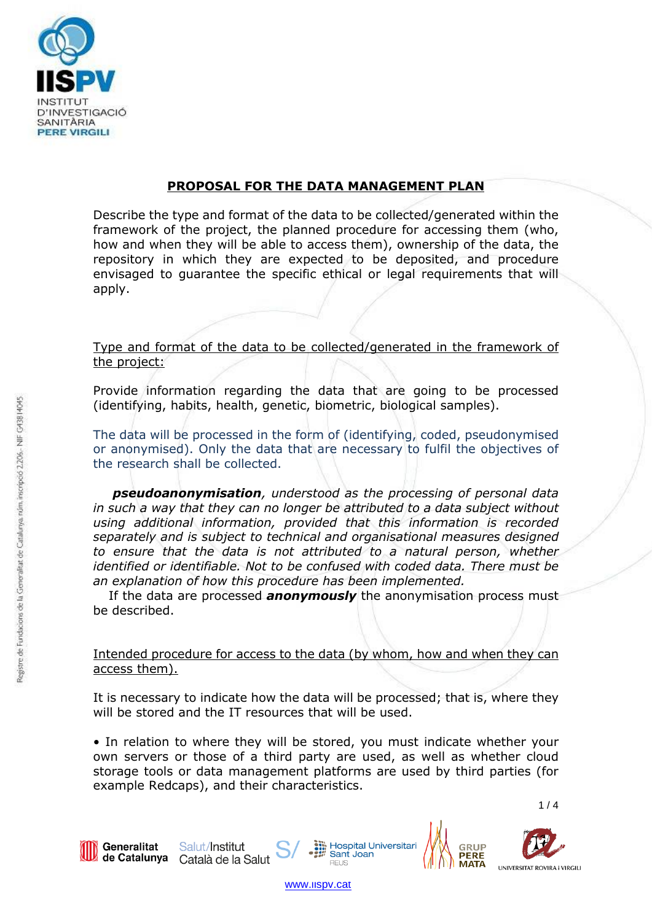

# **PROPOSAL FOR THE DATA MANAGEMENT PLAN**

Describe the type and format of the data to be collected/generated within the framework of the project, the planned procedure for accessing them (who, how and when they will be able to access them), ownership of the data, the repository in which they are expected to be deposited, and procedure envisaged to guarantee the specific ethical or legal requirements that will apply.

Type and format of the data to be collected/generated in the framework of the project:

Provide information regarding the data that are going to be processed (identifying, habits, health, genetic, biometric, biological samples).

The data will be processed in the form of (identifying, coded, pseudonymised or anonymised). Only the data that are necessary to fulfil the objectives of the research shall be collected.

*pseudoanonymisation, understood as the processing of personal data in such a way that they can no longer be attributed to a data subject without using additional information, provided that this information is recorded separately and is subject to technical and organisational measures designed to ensure that the data is not attributed to a natural person, whether identified or identifiable. Not to be confused with coded data. There must be an explanation of how this procedure has been implemented.*

If the data are processed *anonymously* the anonymisation process must be described.

Intended procedure for access to the data (by whom, how and when they can access them).

It is necessary to indicate how the data will be processed; that is, where they will be stored and the IT resources that will be used.

• In relation to where they will be stored, you must indicate whether your own servers or those of a third party are used, as well as whether cloud storage tools or data management platforms are used by third parties (for example Redcaps), and their characteristics.

 $1/4$ 

UNIVERSITAT ROVIRA i VIRGILI

**PFRF MATA** 



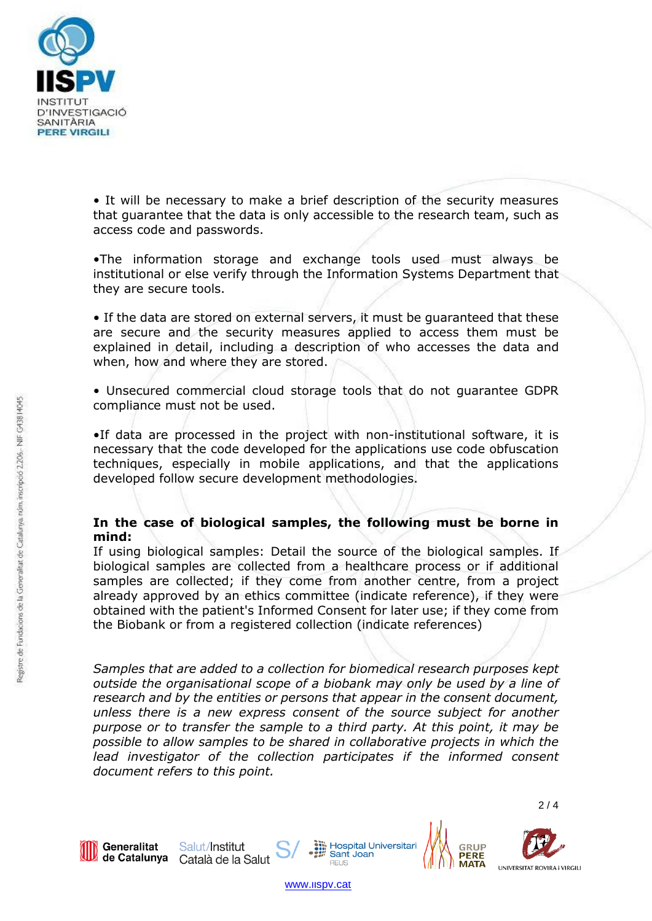

• It will be necessary to make a brief description of the security measures that guarantee that the data is only accessible to the research team, such as access code and passwords.

•The information storage and exchange tools used must always be institutional or else verify through the Information Systems Department that they are secure tools.

• If the data are stored on external servers, it must be guaranteed that these are secure and the security measures applied to access them must be explained in detail, including a description of who accesses the data and when, how and where they are stored.

• Unsecured commercial cloud storage tools that do not guarantee GDPR compliance must not be used.

•If data are processed in the project with non-institutional software, it is necessary that the code developed for the applications use code obfuscation techniques, especially in mobile applications, and that the applications developed follow secure development methodologies.

### **In the case of biological samples, the following must be borne in mind:**

If using biological samples: Detail the source of the biological samples. If biological samples are collected from a healthcare process or if additional samples are collected; if they come from another centre, from a project already approved by an ethics committee (indicate reference), if they were obtained with the patient's Informed Consent for later use; if they come from the Biobank or from a registered collection (indicate references)

*Samples that are added to a collection for biomedical research purposes kept outside the organisational scope of a biobank may only be used by a line of research and by the entities or persons that appear in the consent document, unless there is a new express consent of the source subject for another purpose or to transfer the sample to a third party. At this point, it may be possible to allow samples to be shared in collaborative projects in which the*  lead investigator of the collection participates if the informed consent *document refers to this point.*



Salut/Institut de Catalunya Català de la Salut



2 / 4



UNIVERSITAT ROVIRA i VIRGILI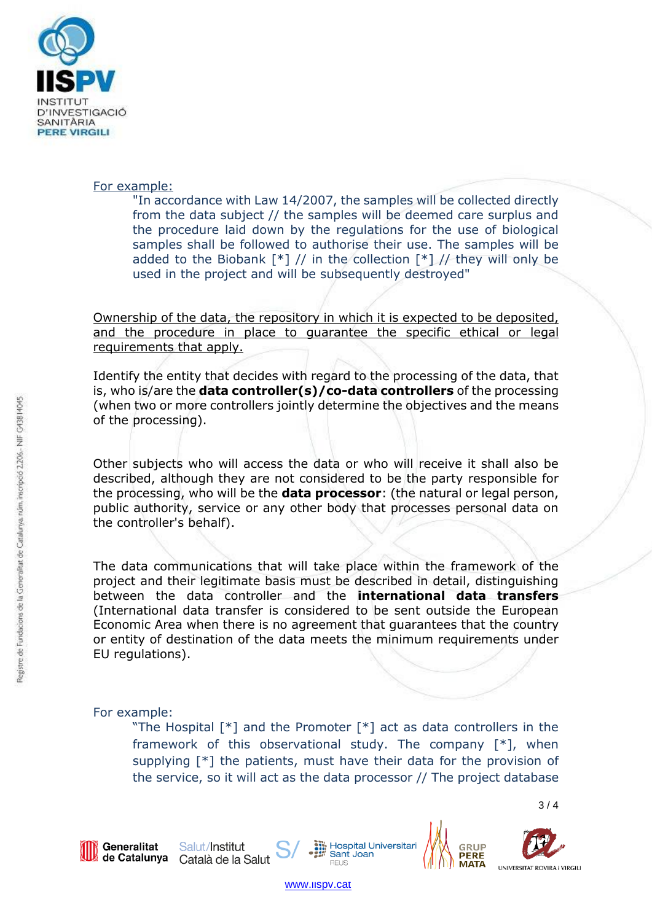

### For example:

"In accordance with Law 14/2007, the samples will be collected directly from the data subject // the samples will be deemed care surplus and the procedure laid down by the regulations for the use of biological samples shall be followed to authorise their use. The samples will be added to the Biobank  $[*]$  // in the collection  $[*]$  // they will only be used in the project and will be subsequently destroyed"

Ownership of the data, the repository in which it is expected to be deposited, and the procedure in place to guarantee the specific ethical or legal requirements that apply.

Identify the entity that decides with regard to the processing of the data, that is, who is/are the **data controller(s)/co-data controllers** of the processing (when two or more controllers jointly determine the objectives and the means of the processing).

Other subjects who will access the data or who will receive it shall also be described, although they are not considered to be the party responsible for the processing, who will be the **data processor**: (the natural or legal person, public authority, service or any other body that processes personal data on the controller's behalf).

The data communications that will take place within the framework of the project and their legitimate basis must be described in detail, distinguishing between the data controller and the **international data transfers** (International data transfer is considered to be sent outside the European Economic Area when there is no agreement that guarantees that the country or entity of destination of the data meets the minimum requirements under EU regulations).

## For example:

"The Hospital [\*] and the Promoter [\*] act as data controllers in the framework of this observational study. The company [\*], when supplying [\*] the patients, must have their data for the provision of the service, so it will act as the data processor // The project database



Salut/Institut de Catalunya Català de la Salut **M** Hospital Universitari<br># Sant Joan

 $3/4$